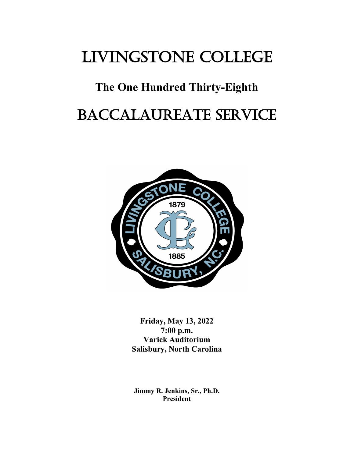# LIVINGSTONE COLLEGE

## **The One Hundred Thirty-Eighth**

# BACCALAUREATE SERVICE



**Friday, May 13, 2022 7:00 p.m. Varick Auditorium Salisbury, North Carolina**

**Jimmy R. Jenkins, Sr., Ph.D. President**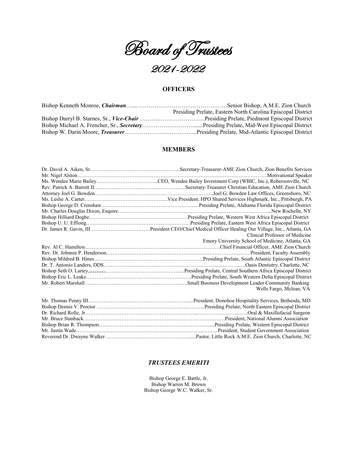

#### **OFFICERS**

| Presiding Prelate, Eastern North Carolina Episcopal District |  |
|--------------------------------------------------------------|--|
|                                                              |  |
|                                                              |  |
|                                                              |  |

#### **MEMBERS**

| Clinical Professor of Medicine                   |  |  |
|--------------------------------------------------|--|--|
| Emory University School of Medicine, Atlanta, GA |  |  |
|                                                  |  |  |
|                                                  |  |  |
|                                                  |  |  |
|                                                  |  |  |
|                                                  |  |  |
|                                                  |  |  |
|                                                  |  |  |
| Wells Fargo, Mclean, VA                          |  |  |
|                                                  |  |  |
|                                                  |  |  |
|                                                  |  |  |
|                                                  |  |  |
|                                                  |  |  |
|                                                  |  |  |
|                                                  |  |  |
|                                                  |  |  |

#### *TRUSTEES EMERITI*

Bishop George E. Battle, Jr. Bishop Warren M. Brown Bishop George W.C. Walker, Sr.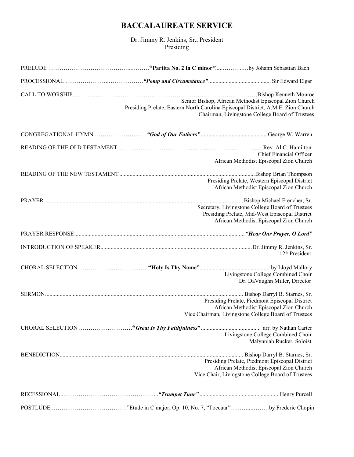### **BACCALAUREATE SERVICE**

Dr. Jimmy R. Jenkins, Sr., President Presiding

| Presiding Prelate, Eastern North Carolina Episcopal District, A.M.E. Zion Church | Senior Bishop, African Methodist Episcopal Zion Church<br>Chairman, Livingstone College Board of Trustees                                         |
|----------------------------------------------------------------------------------|---------------------------------------------------------------------------------------------------------------------------------------------------|
|                                                                                  |                                                                                                                                                   |
|                                                                                  | Chief Financial Officer<br>African Methodist Episcopal Zion Church                                                                                |
|                                                                                  | Presiding Prelate, Western Episcopal District<br>African Methodist Episcopal Zion Church                                                          |
|                                                                                  | Secretary, Livingstone College Board of Trustees<br>Presiding Prelate, Mid-West Episcopal District<br>African Methodist Episcopal Zion Church     |
|                                                                                  |                                                                                                                                                   |
|                                                                                  | 12 <sup>th</sup> President                                                                                                                        |
|                                                                                  | Livingstone College Combined Choir<br>Dr. DaVaughn Miller, Director                                                                               |
|                                                                                  | Presiding Prelate, Piedmont Episcopal District<br>African Methodist Episcopal Zion Church<br>Vice Chairman, Livingstone College Board of Trustees |
|                                                                                  | Livingstone College Combined Choir<br>Malynniah Rucker, Soloist                                                                                   |
|                                                                                  | Presiding Prelate, Piedmont Episcopal District<br>African Methodist Episcopal Zion Church<br>Vice Chair, Livingstone College Board of Trustees    |
|                                                                                  |                                                                                                                                                   |
|                                                                                  |                                                                                                                                                   |